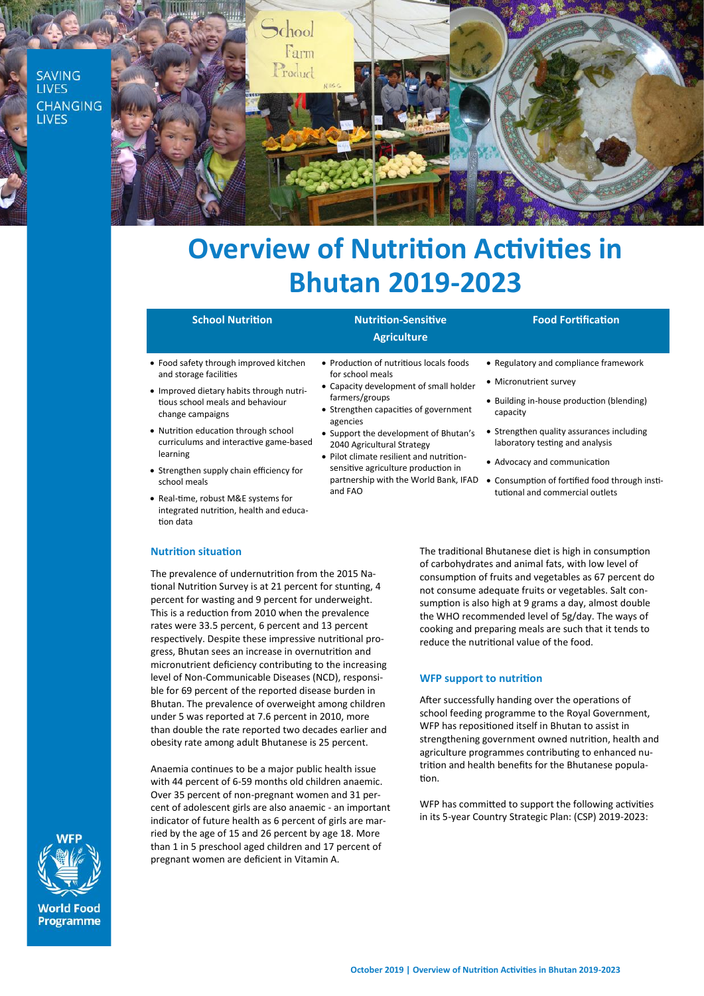

# **Overview of Nutrition Activities in Bhutan 2019-2023**

# **School Nutrition Nutrition-Sensitive**

# **Agriculture**

• Production of nutritious locals foods

• Capacity development of small holder

• Strengthen capacities of government

• Support the development of Bhutan's 2040 Agricultural Strategy • Pilot climate resilient and nutrition-

for school meals

farmers/groups

agencies

and FAO

# **Food Fortification**

• Regulatory and compliance framework

• Building in-house production (blending)

• Strengthen quality assurances including laboratory testing and analysis • Advocacy and communication

• Micronutrient survey

- Food safety through improved kitchen and storage facilities
- Improved dietary habits through nutritious school meals and behaviour change campaigns
- Nutrition education through school curriculums and interactive game-based learning
- Strengthen supply chain efficiency for school meals
- Real-time, robust M&E systems for integrated nutrition, health and education data

### **Nutrition situation**

The prevalence of undernutrition from the 2015 National Nutrition Survey is at 21 percent for stunting, 4 percent for wasting and 9 percent for underweight. This is a reduction from 2010 when the prevalence rates were 33.5 percent, 6 percent and 13 percent respectively. Despite these impressive nutritional progress, Bhutan sees an increase in overnutrition and micronutrient deficiency contributing to the increasing level of Non-Communicable Diseases (NCD), responsible for 69 percent of the reported disease burden in Bhutan. The prevalence of overweight among children under 5 was reported at 7.6 percent in 2010, more than double the rate reported two decades earlier and obesity rate among adult Bhutanese is 25 percent.

Anaemia continues to be a major public health issue with 44 percent of 6-59 months old children anaemic. Over 35 percent of non-pregnant women and 31 percent of adolescent girls are also anaemic - an important indicator of future health as 6 percent of girls are married by the age of 15 and 26 percent by age 18. More than 1 in 5 preschool aged children and 17 percent of pregnant women are deficient in Vitamin A.

sensitive agriculture production in partnership with the World Bank, IFAD • Consumption of fortified food through institutional and commercial outlets

capacity

The traditional Bhutanese diet is high in consumption of carbohydrates and animal fats, with low level of consumption of fruits and vegetables as 67 percent do not consume adequate fruits or vegetables. Salt consumption is also high at 9 grams a day, almost double the WHO recommended level of 5g/day. The ways of cooking and preparing meals are such that it tends to reduce the nutritional value of the food.

## **WFP support to nutrition**

After successfully handing over the operations of school feeding programme to the Royal Government, WFP has repositioned itself in Bhutan to assist in strengthening government owned nutrition, health and agriculture programmes contributing to enhanced nutrition and health benefits for the Bhutanese population.

WFP has committed to support the following activities in its 5-year Country Strategic Plan: (CSP) 2019-2023: